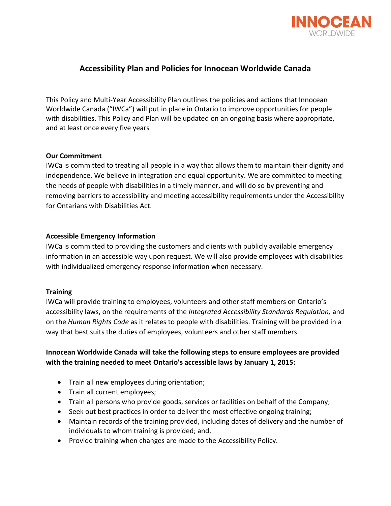

# **Accessibility Plan and Policies for Innocean Worldwide Canada**

This Policy and Multi-Year Accessibility Plan outlines the policies and actions that Innocean Worldwide Canada ("IWCa") will put in place in Ontario to improve opportunities for people with disabilities. This Policy and Plan will be updated on an ongoing basis where appropriate, and at least once every five years

#### **Our Commitment**

IWCa is committed to treating all people in a way that allows them to maintain their dignity and independence. We believe in integration and equal opportunity. We are committed to meeting the needs of people with disabilities in a timely manner, and will do so by preventing and removing barriers to accessibility and meeting accessibility requirements under the Accessibility for Ontarians with Disabilities Act.

#### **Accessible Emergency Information**

IWCa is committed to providing the customers and clients with publicly available emergency information in an accessible way upon request. We will also provide employees with disabilities with individualized emergency response information when necessary.

#### **Training**

IWCa will provide training to employees, volunteers and other staff members on Ontario's accessibility laws, on the requirements of the *Integrated Accessibility Standards Regulation,* and on the *Human Rights Code* as it relates to people with disabilities. Training will be provided in a way that best suits the duties of employees, volunteers and other staff members.

## **Innocean Worldwide Canada will take the following steps to ensure employees are provided with the training needed to meet Ontario's accessible laws by January 1, 2015:**

- Train all new employees during orientation;
- Train all current employees;
- Train all persons who provide goods, services or facilities on behalf of the Company;
- Seek out best practices in order to deliver the most effective ongoing training;
- Maintain records of the training provided, including dates of delivery and the number of individuals to whom training is provided; and,
- Provide training when changes are made to the Accessibility Policy.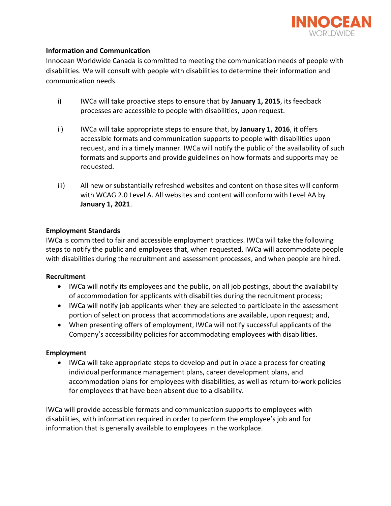

### **Information and Communication**

Innocean Worldwide Canada is committed to meeting the communication needs of people with disabilities. We will consult with people with disabilities to determine their information and communication needs.

- i) IWCa will take proactive steps to ensure that by **January 1, 2015**, its feedback processes are accessible to people with disabilities, upon request.
- ii) IWCa will take appropriate steps to ensure that, by **January 1, 2016**, it offers accessible formats and communication supports to people with disabilities upon request, and in a timely manner. IWCa will notify the public of the availability of such formats and supports and provide guidelines on how formats and supports may be requested.
- iii) All new or substantially refreshed websites and content on those sites will conform with WCAG 2.0 Level A. All websites and content will conform with Level AA by **January 1, 2021**.

### **Employment Standards**

IWCa is committed to fair and accessible employment practices. IWCa will take the following steps to notify the public and employees that, when requested, IWCa will accommodate people with disabilities during the recruitment and assessment processes, and when people are hired.

#### **Recruitment**

- IWCa will notify its employees and the public, on all job postings, about the availability of accommodation for applicants with disabilities during the recruitment process;
- IWCa will notify job applicants when they are selected to participate in the assessment portion of selection process that accommodations are available, upon request; and,
- When presenting offers of employment, IWCa will notify successful applicants of the Company's accessibility policies for accommodating employees with disabilities.

### **Employment**

 IWCa will take appropriate steps to develop and put in place a process for creating individual performance management plans, career development plans, and accommodation plans for employees with disabilities, as well as return-to-work policies for employees that have been absent due to a disability.

IWCa will provide accessible formats and communication supports to employees with disabilities, with information required in order to perform the employee's job and for information that is generally available to employees in the workplace.